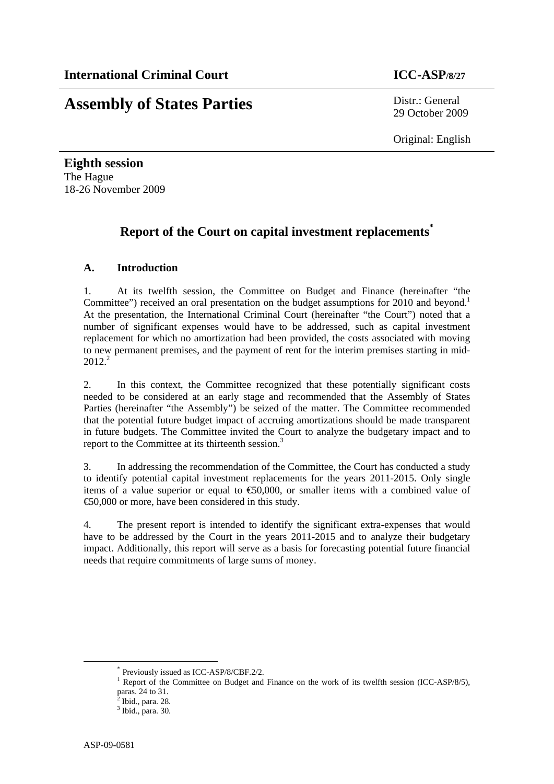# **Assembly of States Parties** Distr.: General

29 October 2009

Original: English

**Eighth session**  The Hague 18-26 November 2009

# **Report of the Court on capital investment replacements\***

# **A. Introduction**

1. At its twelfth session, the Committee on Budget and Finance (hereinafter "the Committee") received an oral presentation on the budget assumptions for 2010 and beyond.<sup>1</sup> At the presentation, the International Criminal Court (hereinafter "the Court") noted that a number of significant expenses would have to be addressed, such as capital investment replacement for which no amortization had been provided, the costs associated with moving to new permanent premises, and the payment of rent for the interim premises starting in mid- $2012.<sup>2</sup>$ 

2. In this context, the Committee recognized that these potentially significant costs needed to be considered at an early stage and recommended that the Assembly of States Parties (hereinafter "the Assembly") be seized of the matter. The Committee recommended that the potential future budget impact of accruing amortizations should be made transparent in future budgets. The Committee invited the Court to analyze the budgetary impact and to report to the Committee at its thirteenth session.<sup>3</sup>

3. In addressing the recommendation of the Committee, the Court has conducted a study to identify potential capital investment replacements for the years 2011-2015. Only single items of a value superior or equal to  $\epsilon$ 60,000, or smaller items with a combined value of €50,000 or more, have been considered in this study.

4. The present report is intended to identify the significant extra-expenses that would have to be addressed by the Court in the years 2011-2015 and to analyze their budgetary impact. Additionally, this report will serve as a basis for forecasting potential future financial needs that require commitments of large sums of money.

 <sup>\*</sup> Previously issued as ICC-ASP/8/CBF.2/2.

<sup>&</sup>lt;sup>1</sup> Report of the Committee on Budget and Finance on the work of its twelfth session (ICC-ASP/8/5),

paras.  $24$  to  $31$ .<br> $2 \text{ hid } \text{per}$ Ibid., para. 28.

<sup>3</sup> Ibid., para. 30.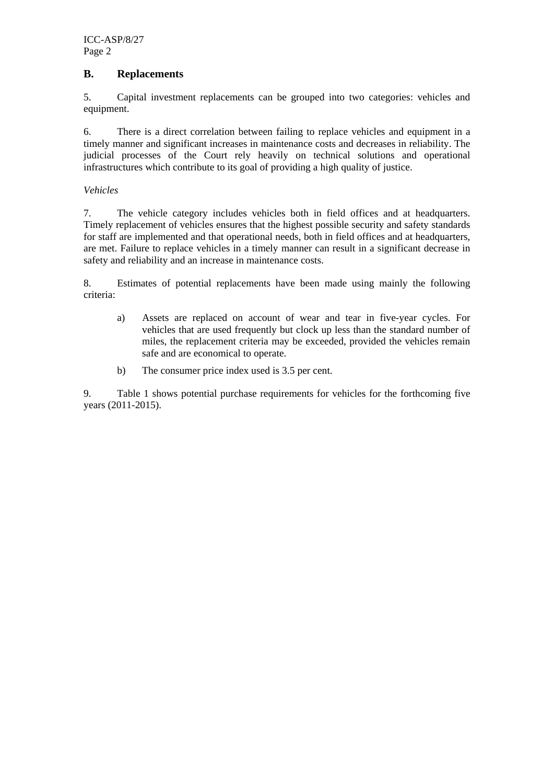# **B. Replacements**

5. Capital investment replacements can be grouped into two categories: vehicles and equipment.

6. There is a direct correlation between failing to replace vehicles and equipment in a timely manner and significant increases in maintenance costs and decreases in reliability. The judicial processes of the Court rely heavily on technical solutions and operational infrastructures which contribute to its goal of providing a high quality of justice.

#### *Vehicles*

7. The vehicle category includes vehicles both in field offices and at headquarters. Timely replacement of vehicles ensures that the highest possible security and safety standards for staff are implemented and that operational needs, both in field offices and at headquarters, are met. Failure to replace vehicles in a timely manner can result in a significant decrease in safety and reliability and an increase in maintenance costs.

8. Estimates of potential replacements have been made using mainly the following criteria:

- a) Assets are replaced on account of wear and tear in five-year cycles. For vehicles that are used frequently but clock up less than the standard number of miles, the replacement criteria may be exceeded, provided the vehicles remain safe and are economical to operate.
- b) The consumer price index used is 3.5 per cent.

9. Table 1 shows potential purchase requirements for vehicles for the forthcoming five years (2011-2015).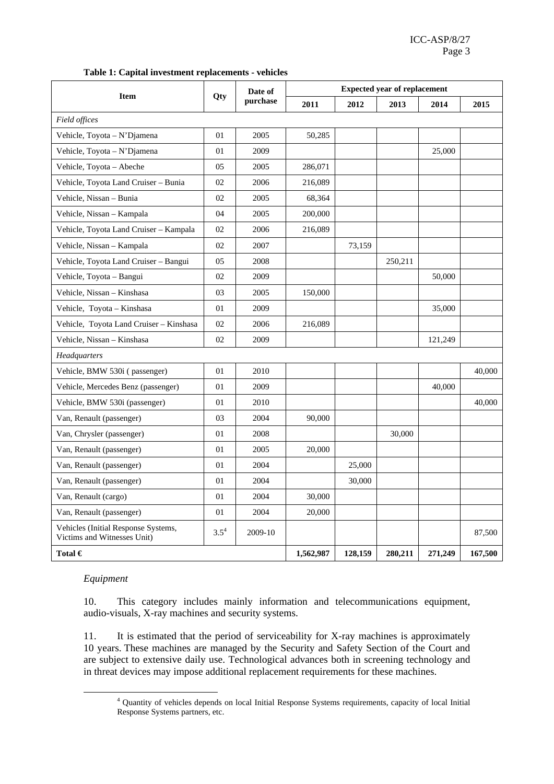|  |  |  |  | Table 1: Capital investment replacements - vehicles |
|--|--|--|--|-----------------------------------------------------|
|--|--|--|--|-----------------------------------------------------|

|                                                                    | Qty       | Date of<br>purchase | <b>Expected year of replacement</b> |         |         |         |         |  |
|--------------------------------------------------------------------|-----------|---------------------|-------------------------------------|---------|---------|---------|---------|--|
| <b>Item</b>                                                        |           |                     | 2011                                | 2012    | 2013    | 2014    | 2015    |  |
| Field offices                                                      |           |                     |                                     |         |         |         |         |  |
| Vehicle, Toyota - N'Djamena                                        | 01        | 2005                | 50,285                              |         |         |         |         |  |
| Vehicle, Toyota - N'Djamena                                        | 01        | 2009                |                                     |         |         | 25,000  |         |  |
| Vehicle, Toyota - Abeche                                           | 05        | 2005                | 286,071                             |         |         |         |         |  |
| Vehicle, Toyota Land Cruiser - Bunia                               | 02        | 2006                | 216,089                             |         |         |         |         |  |
| Vehicle, Nissan - Bunia                                            | 02        | 2005                | 68,364                              |         |         |         |         |  |
| Vehicle, Nissan - Kampala                                          | 04        | 2005                | 200,000                             |         |         |         |         |  |
| Vehicle, Toyota Land Cruiser - Kampala                             | 02        | 2006                | 216,089                             |         |         |         |         |  |
| Vehicle, Nissan - Kampala                                          | 02        | 2007                |                                     | 73,159  |         |         |         |  |
| Vehicle, Toyota Land Cruiser - Bangui                              | 05        | 2008                |                                     |         | 250,211 |         |         |  |
| Vehicle, Toyota - Bangui                                           | 02        | 2009                |                                     |         |         | 50,000  |         |  |
| Vehicle, Nissan - Kinshasa                                         | 03        | 2005                | 150,000                             |         |         |         |         |  |
| Vehicle, Toyota - Kinshasa                                         | 01        | 2009                |                                     |         |         | 35,000  |         |  |
| Vehicle, Toyota Land Cruiser - Kinshasa                            | 02        | 2006                | 216,089                             |         |         |         |         |  |
| Vehicle, Nissan - Kinshasa                                         | 02        | 2009                |                                     |         |         | 121,249 |         |  |
| Headquarters                                                       |           |                     |                                     |         |         |         |         |  |
| Vehicle, BMW 530i (passenger)                                      | 01        | 2010                |                                     |         |         |         | 40,000  |  |
| Vehicle, Mercedes Benz (passenger)                                 | 01        | 2009                |                                     |         |         | 40,000  |         |  |
| Vehicle, BMW 530i (passenger)                                      | 01        | 2010                |                                     |         |         |         | 40,000  |  |
| Van, Renault (passenger)                                           | 03        | 2004                | 90,000                              |         |         |         |         |  |
| Van, Chrysler (passenger)                                          | 01        | 2008                |                                     |         | 30,000  |         |         |  |
| Van, Renault (passenger)                                           | 01        | 2005                | 20,000                              |         |         |         |         |  |
| Van, Renault (passenger)                                           | 01        | 2004                |                                     | 25,000  |         |         |         |  |
| Van, Renault (passenger)                                           | 01        | 2004                |                                     | 30,000  |         |         |         |  |
| Van, Renault (cargo)                                               | 01        | 2004                | 30,000                              |         |         |         |         |  |
| Van, Renault (passenger)                                           | 01        | 2004                | 20,000                              |         |         |         |         |  |
| Vehicles (Initial Response Systems,<br>Victims and Witnesses Unit) | $3.5^{4}$ | 2009-10             |                                     |         |         |         | 87,500  |  |
| Total $\in$                                                        |           |                     | 1,562,987                           | 128,159 | 280,211 | 271,249 | 167,500 |  |

#### *Equipment*

10. This category includes mainly information and telecommunications equipment, audio-visuals, X-ray machines and security systems.

11. It is estimated that the period of serviceability for X-ray machines is approximately 10 years. These machines are managed by the Security and Safety Section of the Court and are subject to extensive daily use. Technological advances both in screening technology and in threat devices may impose additional replacement requirements for these machines.

 $\frac{1}{4}$  Quantity of vehicles depends on local Initial Response Systems requirements, capacity of local Initial Response Systems partners, etc.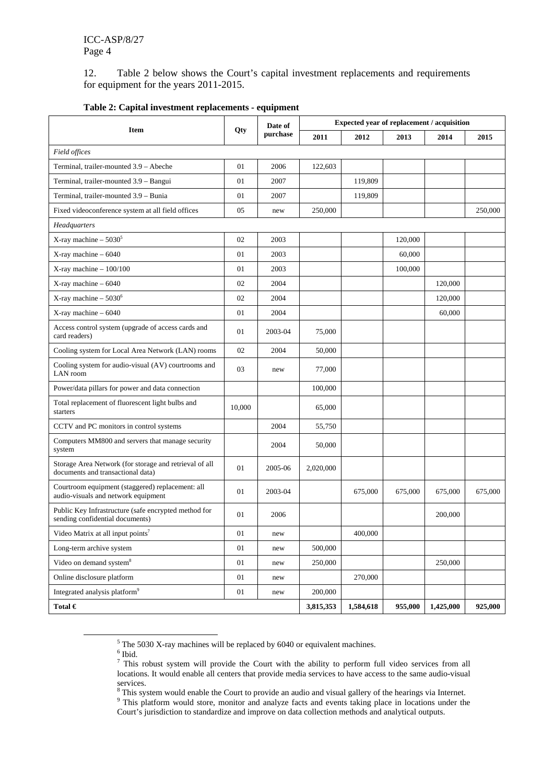12. Table 2 below shows the Court's capital investment replacements and requirements for equipment for the years 2011-2015.

| <b>Item</b>                                                                                 | Qty    | Date of<br>purchase | Expected year of replacement / acquisition |           |         |           |         |
|---------------------------------------------------------------------------------------------|--------|---------------------|--------------------------------------------|-----------|---------|-----------|---------|
|                                                                                             |        |                     | 2011                                       | 2012      | 2013    | 2014      | 2015    |
| Field offices                                                                               |        |                     |                                            |           |         |           |         |
| Terminal, trailer-mounted 3.9 - Abeche                                                      | 01     | 2006                | 122,603                                    |           |         |           |         |
| Terminal, trailer-mounted 3.9 - Bangui                                                      | 01     | 2007                |                                            | 119,809   |         |           |         |
| Terminal, trailer-mounted 3.9 - Bunia                                                       | 01     | 2007                |                                            | 119,809   |         |           |         |
| Fixed videoconference system at all field offices                                           | 05     | new                 | 250,000                                    |           |         |           | 250,000 |
| Headquarters                                                                                |        |                     |                                            |           |         |           |         |
| X-ray machine $-5030^5$                                                                     | 02     | 2003                |                                            |           | 120,000 |           |         |
| X-ray machine - 6040                                                                        | 01     | 2003                |                                            |           | 60,000  |           |         |
| $X$ -ray machine $-100/100$                                                                 | 01     | 2003                |                                            |           | 100,000 |           |         |
| X-ray machine - 6040                                                                        | 02     | 2004                |                                            |           |         | 120,000   |         |
| X-ray machine $-5030^6$                                                                     | 02     | 2004                |                                            |           |         | 120,000   |         |
| $X$ -ray machine - 6040                                                                     | 01     | 2004                |                                            |           |         | 60,000    |         |
| Access control system (upgrade of access cards and<br>card readers)                         | 01     | 2003-04             | 75,000                                     |           |         |           |         |
| Cooling system for Local Area Network (LAN) rooms                                           | 02     | 2004                | 50,000                                     |           |         |           |         |
| Cooling system for audio-visual (AV) courtrooms and<br>LAN room                             | 03     | new                 | 77,000                                     |           |         |           |         |
| Power/data pillars for power and data connection                                            |        |                     | 100,000                                    |           |         |           |         |
| Total replacement of fluorescent light bulbs and<br>starters                                | 10,000 |                     | 65,000                                     |           |         |           |         |
| CCTV and PC monitors in control systems                                                     |        | 2004                | 55,750                                     |           |         |           |         |
| Computers MM800 and servers that manage security<br>system                                  |        | 2004                | 50,000                                     |           |         |           |         |
| Storage Area Network (for storage and retrieval of all<br>documents and transactional data) | 01     | 2005-06             | 2,020,000                                  |           |         |           |         |
| Courtroom equipment (staggered) replacement: all<br>audio-visuals and network equipment     | 01     | 2003-04             |                                            | 675,000   | 675,000 | 675,000   | 675,000 |
| Public Key Infrastructure (safe encrypted method for<br>sending confidential documents)     | 01     | 2006                |                                            |           |         | 200,000   |         |
| Video Matrix at all input points <sup>7</sup>                                               | 01     | new                 |                                            | 400,000   |         |           |         |
| Long-term archive system                                                                    | 01     | new                 | 500,000                                    |           |         |           |         |
| Video on demand system <sup>8</sup>                                                         | 01     | new                 | 250,000                                    |           |         | 250,000   |         |
| Online disclosure platform                                                                  | 01     | new                 |                                            | 270,000   |         |           |         |
| Integrated analysis platform <sup>9</sup>                                                   | 01     | new                 | 200,000                                    |           |         |           |         |
| Total $\in$                                                                                 |        |                     | 3,815,353                                  | 1,584,618 | 955,000 | 1,425,000 | 925,000 |

#### **Table 2: Capital investment replacements - equipment**

 $rac{1}{5}$ 

 $^5$  The 5030 X-ray machines will be replaced by 6040 or equivalent machines.<br><sup>6</sup> Ibid.<br><sup>7</sup> This robust system will provide the Court with the ability to perform full video services from all locations. It would enable all centers that provide media services to have access to the same audio-visual

services.<br><sup>8</sup> This system would enable the Court to provide an audio and visual gallery of the hearings via Internet.<br><sup>9</sup> This pletform would stere, monitor and analyze feets and quants taking place in locations under the

<sup>&</sup>lt;sup>9</sup> This platform would store, monitor and analyze facts and events taking place in locations under the Court's jurisdiction to standardize and improve on data collection methods and analytical outputs.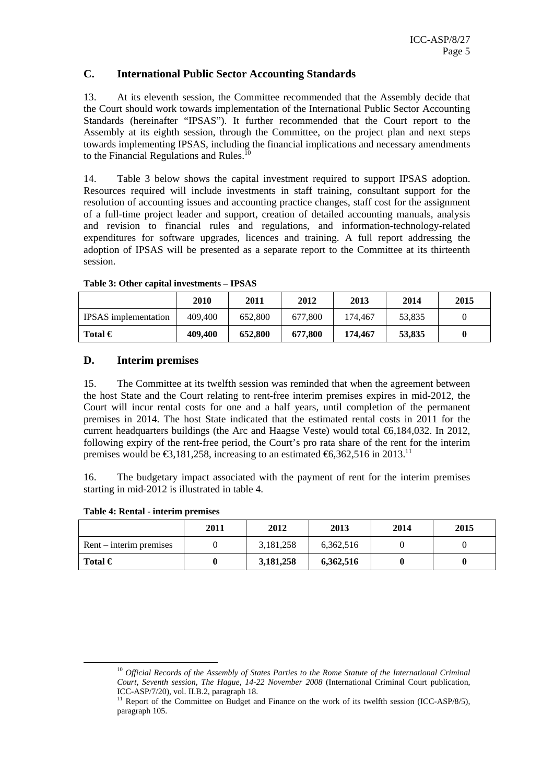### **C. International Public Sector Accounting Standards**

13. At its eleventh session, the Committee recommended that the Assembly decide that the Court should work towards implementation of the International Public Sector Accounting Standards (hereinafter "IPSAS"). It further recommended that the Court report to the Assembly at its eighth session, through the Committee, on the project plan and next steps towards implementing IPSAS, including the financial implications and necessary amendments to the Financial Regulations and Rules.<sup>10</sup>

14. Table 3 below shows the capital investment required to support IPSAS adoption. Resources required will include investments in staff training, consultant support for the resolution of accounting issues and accounting practice changes, staff cost for the assignment of a full-time project leader and support, creation of detailed accounting manuals, analysis and revision to financial rules and regulations, and information-technology-related expenditures for software upgrades, licences and training. A full report addressing the adoption of IPSAS will be presented as a separate report to the Committee at its thirteenth session.

|                             | 2010    | 2011    | 2012    | 2013    | 2014   | 2015 |
|-----------------------------|---------|---------|---------|---------|--------|------|
| <b>IPSAS</b> implementation | 409,400 | 652,800 | 677.800 | 174.467 | 53.835 |      |
| Total $\in$                 | 409,400 | 652,800 | 677.800 | 174,467 | 53,835 | 0    |

**Table 3: Other capital investments – IPSAS** 

#### **D. Interim premises**

15. The Committee at its twelfth session was reminded that when the agreement between the host State and the Court relating to rent-free interim premises expires in mid-2012, the Court will incur rental costs for one and a half years, until completion of the permanent premises in 2014. The host State indicated that the estimated rental costs in 2011 for the current headquarters buildings (the Arc and Haagse Veste) would total  $\epsilon$ 6,184,032. In 2012, following expiry of the rent-free period, the Court's pro rata share of the rent for the interim premises would be  $\epsilon$ 3,181,258, increasing to an estimated  $\epsilon$ 6,362,516 in 2013.<sup>11</sup>

16. The budgetary impact associated with the payment of rent for the interim premises starting in mid-2012 is illustrated in table 4.

|                           | 2011 | 2012      | 2013      | 2014 | 2015 |
|---------------------------|------|-----------|-----------|------|------|
| $Rent - interim premises$ |      | 3,181,258 | 6,362,516 |      |      |
| Total $\in$               |      | 3,181,258 | 6,362,516 |      |      |

<sup>&</sup>lt;sup>10</sup> *Official Records of the Assembly of States Parties to the Rome Statute of the International Criminal Court, Seventh session, The Hague, 14-22 November 2008* (International Criminal Court publication, ICC-ASP/7/20), vol. II.B.2, paragraph 18.

<sup>&</sup>lt;sup>11</sup> Report of the Committee on Budget and Finance on the work of its twelfth session (ICC-ASP/8/5), paragraph 105.